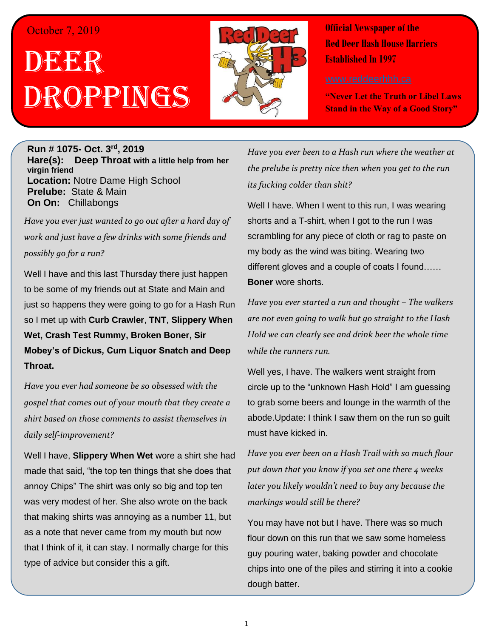#### October 7, 2019

# DEER h  $\overline{\phantom{a}}$ Droppings



**Official Newspaper of the Red Deer Hash House Harriers Established In 1997** 

**"Never Let the Truth or Libel Laws Stand in the Way of a Good Story"**

#### **Run # 1075- Oct. 3 rd, 2019 Hare(s): Deep Throat with a little help from her virgin friend Location:** Notre Dame High School **Prelube:** State & Main **On On:** Chillabongs

**Scribe: Chips A Whore** *Have you ever just wanted to go out after a hard day of work and just have a few drinks with some friends and possibly go for a run?*

Well I have and this last Thursday there just happen to be some of my friends out at State and Main and just so happens they were going to go for a Hash Run so I met up with **Curb Crawler**, **TNT**, **Slippery When Wet, Crash Test Rummy, Broken Boner, Sir Mobey's of Dickus, Cum Liquor Snatch and Deep Throat.**

*Have you ever had someone be so obsessed with the gospel that comes out of your mouth that they create a shirt based on those comments to assist themselves in daily self-improvement?*

Well I have, **Slippery When Wet** wore a shirt she had made that said, "the top ten things that she does that annoy Chips" The shirt was only so big and top ten was very modest of her. She also wrote on the back that making shirts was annoying as a number 11, but as a note that never came from my mouth but now that I think of it, it can stay. I normally charge for this type of advice but consider this a gift.

*Have you ever been to a Hash run where the weather at the prelube is pretty nice then when you get to the run its fucking colder than shit?*

Well I have. When I went to this run, I was wearing shorts and a T-shirt, when I got to the run I was scrambling for any piece of cloth or rag to paste on my body as the wind was biting. Wearing two different gloves and a couple of coats I found…… **Boner** wore shorts.

*Have you ever started a run and thought – The walkers are not even going to walk but go straight to the Hash Hold we can clearly see and drink beer the whole time while the runners run.*

Well yes, I have. The walkers went straight from circle up to the "unknown Hash Hold" I am guessing to grab some beers and lounge in the warmth of the abode.Update: I think I saw them on the run so guilt must have kicked in.

*Have you ever been on a Hash Trail with so much flour put down that you know if you set one there 4 weeks later you likely wouldn't need to buy any because the markings would still be there?*

You may have not but I have. There was so much flour down on this run that we saw some homeless guy pouring water, baking powder and chocolate chips into one of the piles and stirring it into a cookie dough batter.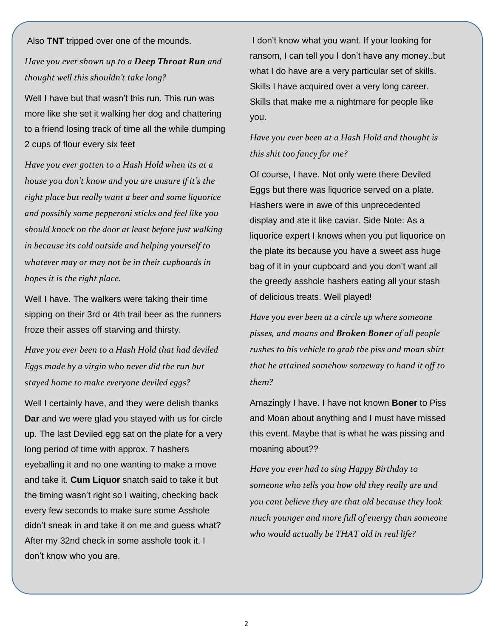Also **TNT** tripped over one of the mounds.

## *Have you ever shown up to a Deep Throat Run and thought well this shouldn't take long?*

Well I have but that wasn't this run. This run was more like she set it walking her dog and chattering to a friend losing track of time all the while dumping 2 cups of flour every six feet

*Have you ever gotten to a Hash Hold when its at a house you don't know and you are unsure if it's the right place but really want a beer and some liquorice and possibly some pepperoni sticks and feel like you should knock on the door at least before just walking in because its cold outside and helping yourself to whatever may or may not be in their cupboards in hopes it is the right place.*

Well I have. The walkers were taking their time sipping on their 3rd or 4th trail beer as the runners froze their asses off starving and thirsty.

*Have you ever been to a Hash Hold that had deviled Eggs made by a virgin who never did the run but stayed home to make everyone deviled eggs?*

Well I certainly have, and they were delish thanks **Dar** and we were glad you stayed with us for circle up. The last Deviled egg sat on the plate for a very long period of time with approx. 7 hashers eyeballing it and no one wanting to make a move and take it. **Cum Liquor** snatch said to take it but the timing wasn't right so I waiting, checking back every few seconds to make sure some Asshole didn't sneak in and take it on me and guess what? After my 32nd check in some asshole took it. I don't know who you are.

I don't know what you want. If your looking for ransom, I can tell you I don't have any money..but what I do have are a very particular set of skills. Skills I have acquired over a very long career. Skills that make me a nightmare for people like you.

## *Have you ever been at a Hash Hold and thought is this shit too fancy for me?*

Of course, I have. Not only were there Deviled Eggs but there was liquorice served on a plate. Hashers were in awe of this unprecedented display and ate it like caviar. Side Note: As a liquorice expert I knows when you put liquorice on the plate its because you have a sweet ass huge bag of it in your cupboard and you don't want all the greedy asshole hashers eating all your stash of delicious treats. Well played!

*Have you ever been at a circle up where someone pisses, and moans and Broken Boner of all people rushes to his vehicle to grab the piss and moan shirt that he attained somehow someway to hand it off to them?*

Amazingly I have. I have not known **Boner** to Piss and Moan about anything and I must have missed this event. Maybe that is what he was pissing and moaning about??

*Have you ever had to sing Happy Birthday to someone who tells you how old they really are and you cant believe they are that old because they look much younger and more full of energy than someone who would actually be THAT old in real life?*